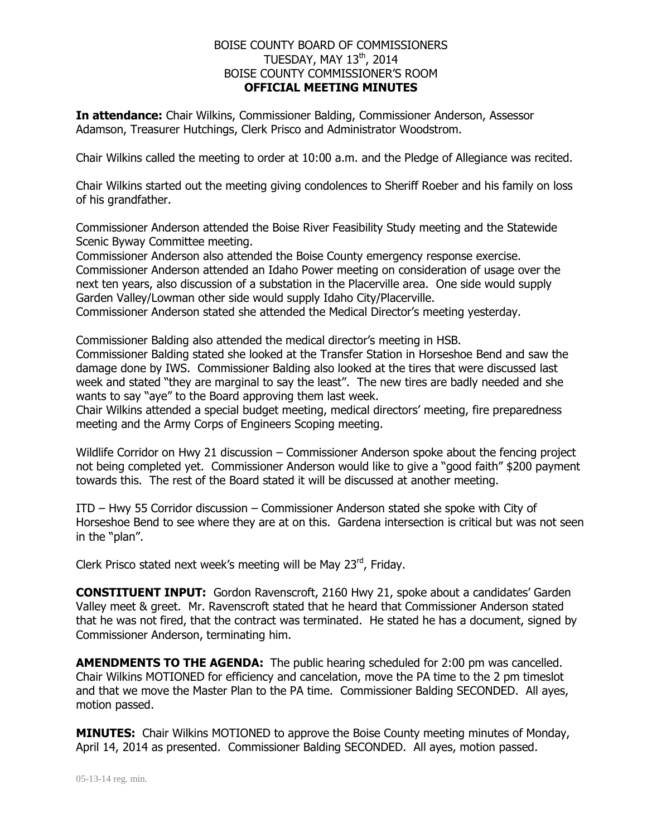## BOISE COUNTY BOARD OF COMMISSIONERS TUESDAY, MAY 13<sup>th</sup>, 2014 BOISE COUNTY COMMISSIONER'S ROOM **OFFICIAL MEETING MINUTES**

**In attendance:** Chair Wilkins, Commissioner Balding, Commissioner Anderson, Assessor Adamson, Treasurer Hutchings, Clerk Prisco and Administrator Woodstrom.

Chair Wilkins called the meeting to order at 10:00 a.m. and the Pledge of Allegiance was recited.

Chair Wilkins started out the meeting giving condolences to Sheriff Roeber and his family on loss of his grandfather.

Commissioner Anderson attended the Boise River Feasibility Study meeting and the Statewide Scenic Byway Committee meeting.

Commissioner Anderson also attended the Boise County emergency response exercise. Commissioner Anderson attended an Idaho Power meeting on consideration of usage over the next ten years, also discussion of a substation in the Placerville area. One side would supply Garden Valley/Lowman other side would supply Idaho City/Placerville.

Commissioner Anderson stated she attended the Medical Director's meeting yesterday.

Commissioner Balding also attended the medical director's meeting in HSB. Commissioner Balding stated she looked at the Transfer Station in Horseshoe Bend and saw the damage done by IWS. Commissioner Balding also looked at the tires that were discussed last week and stated "they are marginal to say the least". The new tires are badly needed and she wants to say "aye" to the Board approving them last week.

Chair Wilkins attended a special budget meeting, medical directors' meeting, fire preparedness meeting and the Army Corps of Engineers Scoping meeting.

Wildlife Corridor on Hwy 21 discussion – Commissioner Anderson spoke about the fencing project not being completed yet. Commissioner Anderson would like to give a "good faith" \$200 payment towards this. The rest of the Board stated it will be discussed at another meeting.

ITD – Hwy 55 Corridor discussion – Commissioner Anderson stated she spoke with City of Horseshoe Bend to see where they are at on this. Gardena intersection is critical but was not seen in the "plan".

Clerk Prisco stated next week's meeting will be May 23rd, Friday.

**CONSTITUENT INPUT:** Gordon Ravenscroft, 2160 Hwy 21, spoke about a candidates' Garden Valley meet & greet. Mr. Ravenscroft stated that he heard that Commissioner Anderson stated that he was not fired, that the contract was terminated. He stated he has a document, signed by Commissioner Anderson, terminating him.

**AMENDMENTS TO THE AGENDA:** The public hearing scheduled for 2:00 pm was cancelled. Chair Wilkins MOTIONED for efficiency and cancelation, move the PA time to the 2 pm timeslot and that we move the Master Plan to the PA time. Commissioner Balding SECONDED. All ayes, motion passed.

**MINUTES:** Chair Wilkins MOTIONED to approve the Boise County meeting minutes of Monday, April 14, 2014 as presented. Commissioner Balding SECONDED. All ayes, motion passed.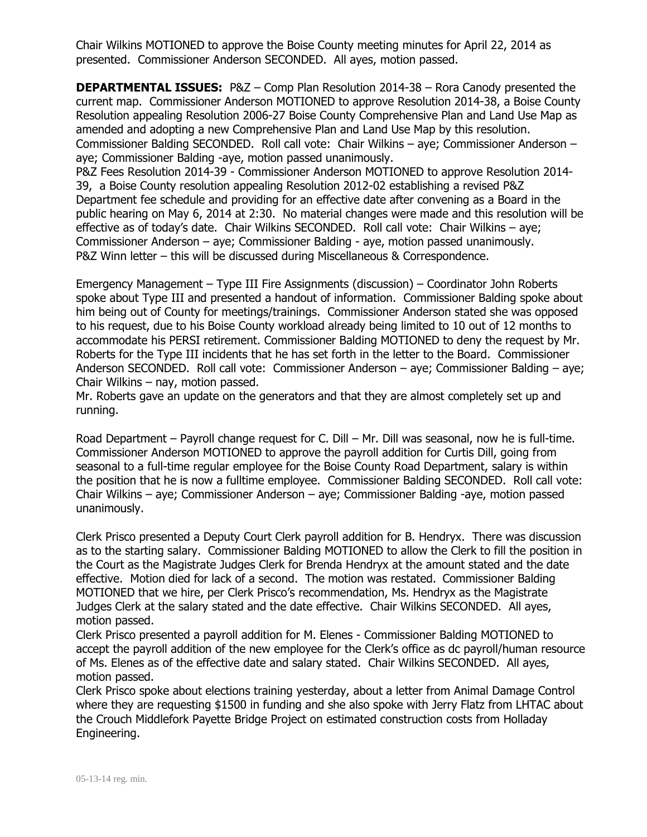Chair Wilkins MOTIONED to approve the Boise County meeting minutes for April 22, 2014 as presented. Commissioner Anderson SECONDED. All ayes, motion passed.

**DEPARTMENTAL ISSUES:** P&Z – Comp Plan Resolution 2014-38 – Rora Canody presented the current map. Commissioner Anderson MOTIONED to approve Resolution 2014-38, a Boise County Resolution appealing Resolution 2006-27 Boise County Comprehensive Plan and Land Use Map as amended and adopting a new Comprehensive Plan and Land Use Map by this resolution. Commissioner Balding SECONDED. Roll call vote: Chair Wilkins – aye; Commissioner Anderson – aye; Commissioner Balding -aye, motion passed unanimously.

P&Z Fees Resolution 2014-39 - Commissioner Anderson MOTIONED to approve Resolution 2014- 39, a Boise County resolution appealing Resolution 2012-02 establishing a revised P&Z Department fee schedule and providing for an effective date after convening as a Board in the public hearing on May 6, 2014 at 2:30. No material changes were made and this resolution will be effective as of today's date. Chair Wilkins SECONDED. Roll call vote: Chair Wilkins – aye; Commissioner Anderson – aye; Commissioner Balding - aye, motion passed unanimously. P&Z Winn letter – this will be discussed during Miscellaneous & Correspondence.

Emergency Management – Type III Fire Assignments (discussion) – Coordinator John Roberts spoke about Type III and presented a handout of information. Commissioner Balding spoke about him being out of County for meetings/trainings. Commissioner Anderson stated she was opposed to his request, due to his Boise County workload already being limited to 10 out of 12 months to accommodate his PERSI retirement. Commissioner Balding MOTIONED to deny the request by Mr. Roberts for the Type III incidents that he has set forth in the letter to the Board. Commissioner Anderson SECONDED. Roll call vote: Commissioner Anderson – aye; Commissioner Balding – aye; Chair Wilkins – nay, motion passed.

Mr. Roberts gave an update on the generators and that they are almost completely set up and running.

Road Department – Payroll change request for C. Dill – Mr. Dill was seasonal, now he is full-time. Commissioner Anderson MOTIONED to approve the payroll addition for Curtis Dill, going from seasonal to a full-time regular employee for the Boise County Road Department, salary is within the position that he is now a fulltime employee. Commissioner Balding SECONDED. Roll call vote: Chair Wilkins – aye; Commissioner Anderson – aye; Commissioner Balding -aye, motion passed unanimously.

Clerk Prisco presented a Deputy Court Clerk payroll addition for B. Hendryx. There was discussion as to the starting salary. Commissioner Balding MOTIONED to allow the Clerk to fill the position in the Court as the Magistrate Judges Clerk for Brenda Hendryx at the amount stated and the date effective. Motion died for lack of a second. The motion was restated. Commissioner Balding MOTIONED that we hire, per Clerk Prisco's recommendation, Ms. Hendryx as the Magistrate Judges Clerk at the salary stated and the date effective. Chair Wilkins SECONDED. All ayes, motion passed.

Clerk Prisco presented a payroll addition for M. Elenes - Commissioner Balding MOTIONED to accept the payroll addition of the new employee for the Clerk's office as dc payroll/human resource of Ms. Elenes as of the effective date and salary stated. Chair Wilkins SECONDED. All ayes, motion passed.

Clerk Prisco spoke about elections training yesterday, about a letter from Animal Damage Control where they are requesting \$1500 in funding and she also spoke with Jerry Flatz from LHTAC about the Crouch Middlefork Payette Bridge Project on estimated construction costs from Holladay Engineering.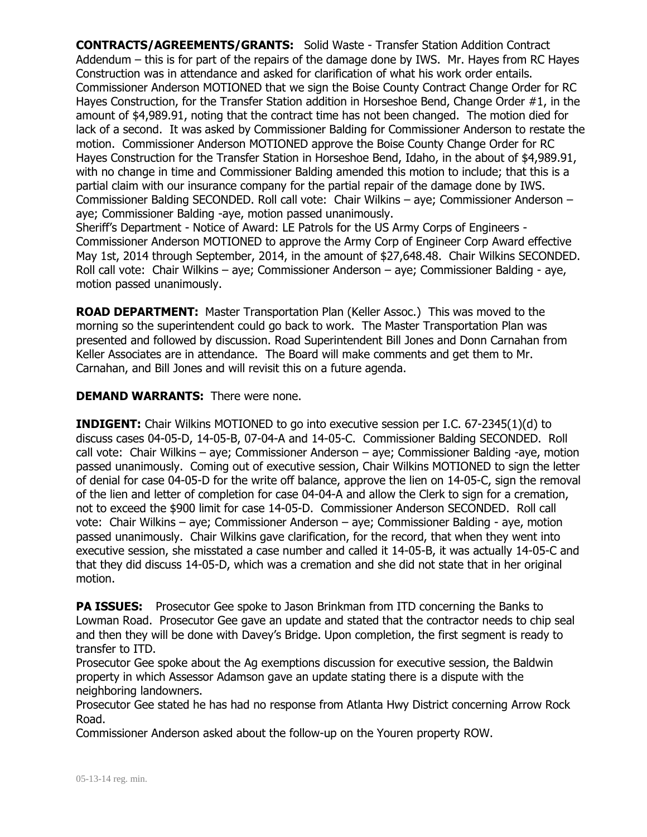**CONTRACTS/AGREEMENTS/GRANTS:** Solid Waste - Transfer Station Addition Contract Addendum – this is for part of the repairs of the damage done by IWS. Mr. Hayes from RC Hayes Construction was in attendance and asked for clarification of what his work order entails. Commissioner Anderson MOTIONED that we sign the Boise County Contract Change Order for RC Hayes Construction, for the Transfer Station addition in Horseshoe Bend, Change Order #1, in the amount of \$4,989.91, noting that the contract time has not been changed. The motion died for lack of a second. It was asked by Commissioner Balding for Commissioner Anderson to restate the motion. Commissioner Anderson MOTIONED approve the Boise County Change Order for RC Hayes Construction for the Transfer Station in Horseshoe Bend, Idaho, in the about of \$4,989.91, with no change in time and Commissioner Balding amended this motion to include; that this is a partial claim with our insurance company for the partial repair of the damage done by IWS. Commissioner Balding SECONDED. Roll call vote: Chair Wilkins – aye; Commissioner Anderson – aye; Commissioner Balding -aye, motion passed unanimously.

Sheriff's Department - Notice of Award: LE Patrols for the US Army Corps of Engineers - Commissioner Anderson MOTIONED to approve the Army Corp of Engineer Corp Award effective May 1st, 2014 through September, 2014, in the amount of \$27,648.48. Chair Wilkins SECONDED. Roll call vote: Chair Wilkins – aye; Commissioner Anderson – aye; Commissioner Balding - aye, motion passed unanimously.

**ROAD DEPARTMENT:** Master Transportation Plan (Keller Assoc.) This was moved to the morning so the superintendent could go back to work. The Master Transportation Plan was presented and followed by discussion. Road Superintendent Bill Jones and Donn Carnahan from Keller Associates are in attendance. The Board will make comments and get them to Mr. Carnahan, and Bill Jones and will revisit this on a future agenda.

## **DEMAND WARRANTS:** There were none.

**INDIGENT:** Chair Wilkins MOTIONED to go into executive session per I.C. 67-2345(1)(d) to discuss cases 04-05-D, 14-05-B, 07-04-A and 14-05-C. Commissioner Balding SECONDED. Roll call vote: Chair Wilkins – aye; Commissioner Anderson – aye; Commissioner Balding -aye, motion passed unanimously. Coming out of executive session, Chair Wilkins MOTIONED to sign the letter of denial for case 04-05-D for the write off balance, approve the lien on 14-05-C, sign the removal of the lien and letter of completion for case 04-04-A and allow the Clerk to sign for a cremation, not to exceed the \$900 limit for case 14-05-D. Commissioner Anderson SECONDED. Roll call vote: Chair Wilkins – aye; Commissioner Anderson – aye; Commissioner Balding - aye, motion passed unanimously. Chair Wilkins gave clarification, for the record, that when they went into executive session, she misstated a case number and called it 14-05-B, it was actually 14-05-C and that they did discuss 14-05-D, which was a cremation and she did not state that in her original motion.

**PA ISSUES:** Prosecutor Gee spoke to Jason Brinkman from ITD concerning the Banks to Lowman Road. Prosecutor Gee gave an update and stated that the contractor needs to chip seal and then they will be done with Davey's Bridge. Upon completion, the first segment is ready to transfer to ITD.

Prosecutor Gee spoke about the Ag exemptions discussion for executive session, the Baldwin property in which Assessor Adamson gave an update stating there is a dispute with the neighboring landowners.

Prosecutor Gee stated he has had no response from Atlanta Hwy District concerning Arrow Rock Road.

Commissioner Anderson asked about the follow-up on the Youren property ROW.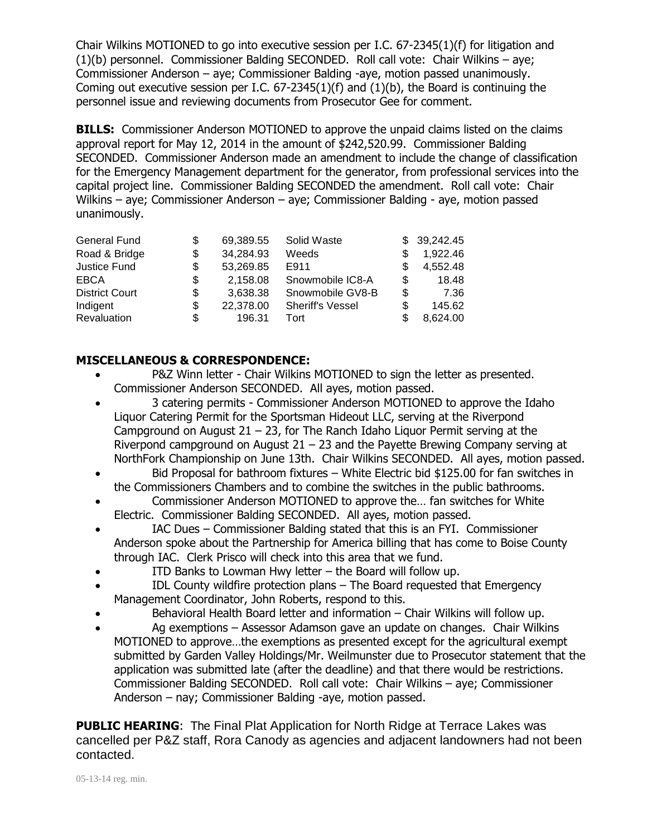Chair Wilkins MOTIONED to go into executive session per I.C. 67-2345(1)(f) for litigation and (1)(b) personnel. Commissioner Balding SECONDED. Roll call vote: Chair Wilkins – aye; Commissioner Anderson – aye; Commissioner Balding -aye, motion passed unanimously. Coming out executive session per I.C. 67-2345(1)(f) and (1)(b), the Board is continuing the personnel issue and reviewing documents from Prosecutor Gee for comment.

**BILLS:** Commissioner Anderson MOTIONED to approve the unpaid claims listed on the claims approval report for May 12, 2014 in the amount of \$242,520.99. Commissioner Balding SECONDED. Commissioner Anderson made an amendment to include the change of classification for the Emergency Management department for the generator, from professional services into the capital project line. Commissioner Balding SECONDED the amendment. Roll call vote: Chair Wilkins – aye; Commissioner Anderson – aye; Commissioner Balding - aye, motion passed unanimously.

| General Fund          |    | 69.389.55 | Solid Waste             |   | \$39,242.45 |
|-----------------------|----|-----------|-------------------------|---|-------------|
| Road & Bridge         | \$ | 34,284.93 | Weeds                   |   | 1,922.46    |
| Justice Fund          | S  | 53,269.85 | E911                    |   | 4,552.48    |
| <b>EBCA</b>           | S  | 2.158.08  | Snowmobile IC8-A        | S | 18.48       |
| <b>District Court</b> | S  | 3,638.38  | Snowmobile GV8-B        | S | 7.36        |
| Indigent              | S  | 22,378.00 | <b>Sheriff's Vessel</b> | S | 145.62      |
| Revaluation           | S  | 196.31    | Tort                    |   | 8,624.00    |

## **MISCELLANEOUS & CORRESPONDENCE:**

- P&Z Winn letter Chair Wilkins MOTIONED to sign the letter as presented. Commissioner Anderson SECONDED. All ayes, motion passed.
- 3 catering permits Commissioner Anderson MOTIONED to approve the Idaho Liquor Catering Permit for the Sportsman Hideout LLC, serving at the Riverpond Campground on August  $21 - 23$ , for The Ranch Idaho Liquor Permit serving at the Riverpond campground on August  $21 - 23$  and the Payette Brewing Company serving at NorthFork Championship on June 13th. Chair Wilkins SECONDED. All ayes, motion passed.
- Bid Proposal for bathroom fixtures White Electric bid \$125.00 for fan switches in the Commissioners Chambers and to combine the switches in the public bathrooms.
- Commissioner Anderson MOTIONED to approve the… fan switches for White Electric. Commissioner Balding SECONDED. All ayes, motion passed.
- IAC Dues Commissioner Balding stated that this is an FYI. Commissioner Anderson spoke about the Partnership for America billing that has come to Boise County through IAC. Clerk Prisco will check into this area that we fund.
- ITD Banks to Lowman Hwy letter the Board will follow up.
- IDL County wildfire protection plans The Board requested that Emergency Management Coordinator, John Roberts, respond to this.
- Behavioral Health Board letter and information Chair Wilkins will follow up.
- Ag exemptions Assessor Adamson gave an update on changes. Chair Wilkins MOTIONED to approve…the exemptions as presented except for the agricultural exempt submitted by Garden Valley Holdings/Mr. Weilmunster due to Prosecutor statement that the application was submitted late (after the deadline) and that there would be restrictions. Commissioner Balding SECONDED. Roll call vote: Chair Wilkins – aye; Commissioner Anderson – nay; Commissioner Balding -aye, motion passed.

**PUBLIC HEARING**: The Final Plat Application for North Ridge at Terrace Lakes was cancelled per P&Z staff, Rora Canody as agencies and adjacent landowners had not been contacted.